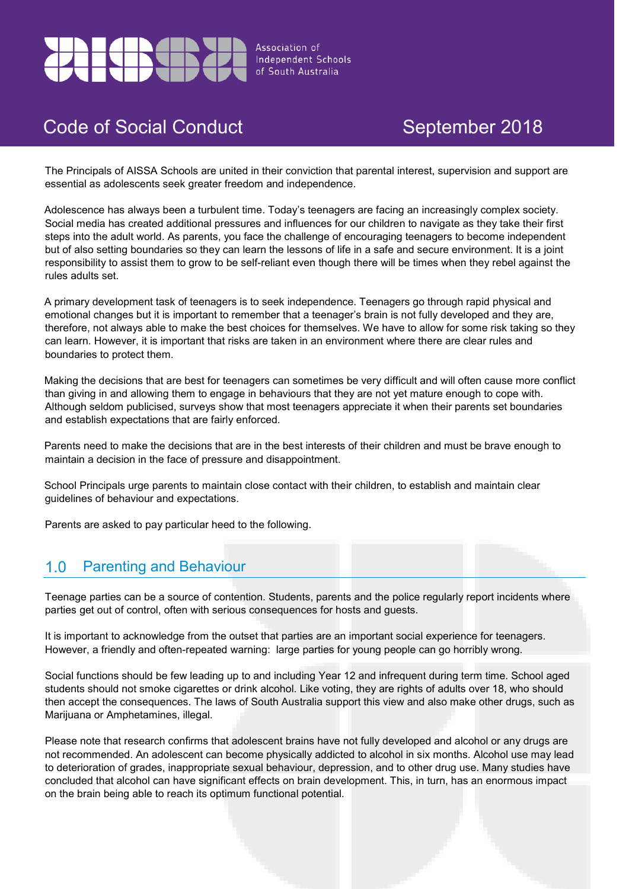

# Code of Social Conduct **September 2018**

The Principals of AISSA Schools are united in their conviction that parental interest, supervision and support are essential as adolescents seek greater freedom and independence.

Adolescence has always been a turbulent time. Today's teenagers are facing an increasingly complex society. Social media has created additional pressures and influences for our children to navigate as they take their first steps into the adult world. As parents, you face the challenge of encouraging teenagers to become independent but of also setting boundaries so they can learn the lessons of life in a safe and secure environment. It is a joint responsibility to assist them to grow to be self-reliant even though there will be times when they rebel against the rules adults set.

A primary development task of teenagers is to seek independence. Teenagers go through rapid physical and emotional changes but it is important to remember that a teenager's brain is not fully developed and they are, therefore, not always able to make the best choices for themselves. We have to allow for some risk taking so they can learn. However, it is important that risks are taken in an environment where there are clear rules and boundaries to protect them.

Making the decisions that are best for teenagers can sometimes be very difficult and will often cause more conflict than giving in and allowing them to engage in behaviours that they are not yet mature enough to cope with. Although seldom publicised, surveys show that most teenagers appreciate it when their parents set boundaries and establish expectations that are fairly enforced.

Parents need to make the decisions that are in the best interests of their children and must be brave enough to maintain a decision in the face of pressure and disappointment.

School Principals urge parents to maintain close contact with their children, to establish and maintain clear guidelines of behaviour and expectations.

Parents are asked to pay particular heed to the following.

### Parenting and Behaviour  $1.0$

Teenage parties can be a source of contention. Students, parents and the police regularly report incidents where parties get out of control, often with serious consequences for hosts and guests.

It is important to acknowledge from the outset that parties are an important social experience for teenagers. However, a friendly and often-repeated warning: large parties for young people can go horribly wrong.

Social functions should be few leading up to and including Year 12 and infrequent during term time. School aged students should not smoke cigarettes or drink alcohol. Like voting, they are rights of adults over 18, who should then accept the consequences. The laws of South Australia support this view and also make other drugs, such as Marijuana or Amphetamines, illegal.

Please note that research confirms that adolescent brains have not fully developed and alcohol or any drugs are not recommended. An adolescent can become physically addicted to alcohol in six months. Alcohol use may lead to deterioration of grades, inappropriate sexual behaviour, depression, and to other drug use. Many studies have concluded that alcohol can have significant effects on brain development. This, in turn, has an enormous impact on the brain being able to reach its optimum functional potential.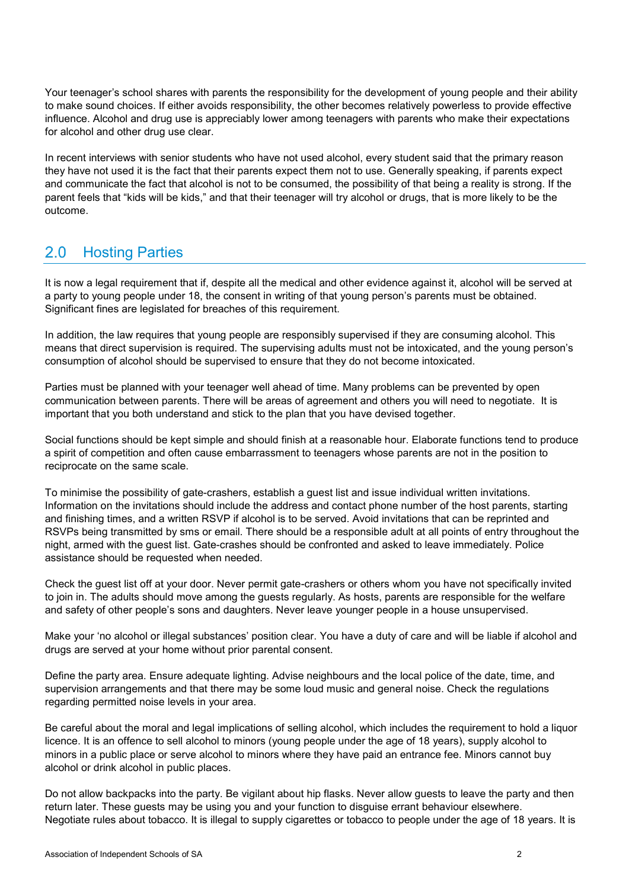Your teenager's school shares with parents the responsibility for the development of young people and their ability to make sound choices. If either avoids responsibility, the other becomes relatively powerless to provide effective influence. Alcohol and drug use is appreciably lower among teenagers with parents who make their expectations for alcohol and other drug use clear.

In recent interviews with senior students who have not used alcohol, every student said that the primary reason they have not used it is the fact that their parents expect them not to use. Generally speaking, if parents expect and communicate the fact that alcohol is not to be consumed, the possibility of that being a reality is strong. If the parent feels that "kids will be kids," and that their teenager will try alcohol or drugs, that is more likely to be the outcome.

## Hosting Parties  $2.0$

It is now a legal requirement that if, despite all the medical and other evidence against it, alcohol will be served at a party to young people under 18, the consent in writing of that young person's parents must be obtained. Significant fines are legislated for breaches of this requirement.

In addition, the law requires that young people are responsibly supervised if they are consuming alcohol. This means that direct supervision is required. The supervising adults must not be intoxicated, and the young person's consumption of alcohol should be supervised to ensure that they do not become intoxicated.

Parties must be planned with your teenager well ahead of time. Many problems can be prevented by open communication between parents. There will be areas of agreement and others you will need to negotiate. It is important that you both understand and stick to the plan that you have devised together.

Social functions should be kept simple and should finish at a reasonable hour. Elaborate functions tend to produce a spirit of competition and often cause embarrassment to teenagers whose parents are not in the position to reciprocate on the same scale.

To minimise the possibility of gate-crashers, establish a guest list and issue individual written invitations. Information on the invitations should include the address and contact phone number of the host parents, starting and finishing times, and a written RSVP if alcohol is to be served. Avoid invitations that can be reprinted and RSVPs being transmitted by sms or email. There should be a responsible adult at all points of entry throughout the night, armed with the guest list. Gate-crashes should be confronted and asked to leave immediately. Police assistance should be requested when needed.

Check the guest list off at your door. Never permit gate-crashers or others whom you have not specifically invited to join in. The adults should move among the guests regularly. As hosts, parents are responsible for the welfare and safety of other people's sons and daughters. Never leave younger people in a house unsupervised.

Make your 'no alcohol or illegal substances' position clear. You have a duty of care and will be liable if alcohol and drugs are served at your home without prior parental consent.

Define the party area. Ensure adequate lighting. Advise neighbours and the local police of the date, time, and supervision arrangements and that there may be some loud music and general noise. Check the regulations regarding permitted noise levels in your area.

Be careful about the moral and legal implications of selling alcohol, which includes the requirement to hold a liquor licence. It is an offence to sell alcohol to minors (young people under the age of 18 years), supply alcohol to minors in a public place or serve alcohol to minors where they have paid an entrance fee. Minors cannot buy alcohol or drink alcohol in public places.

Do not allow backpacks into the party. Be vigilant about hip flasks. Never allow guests to leave the party and then return later. These guests may be using you and your function to disguise errant behaviour elsewhere. Negotiate rules about tobacco. It is illegal to supply cigarettes or tobacco to people under the age of 18 years. It is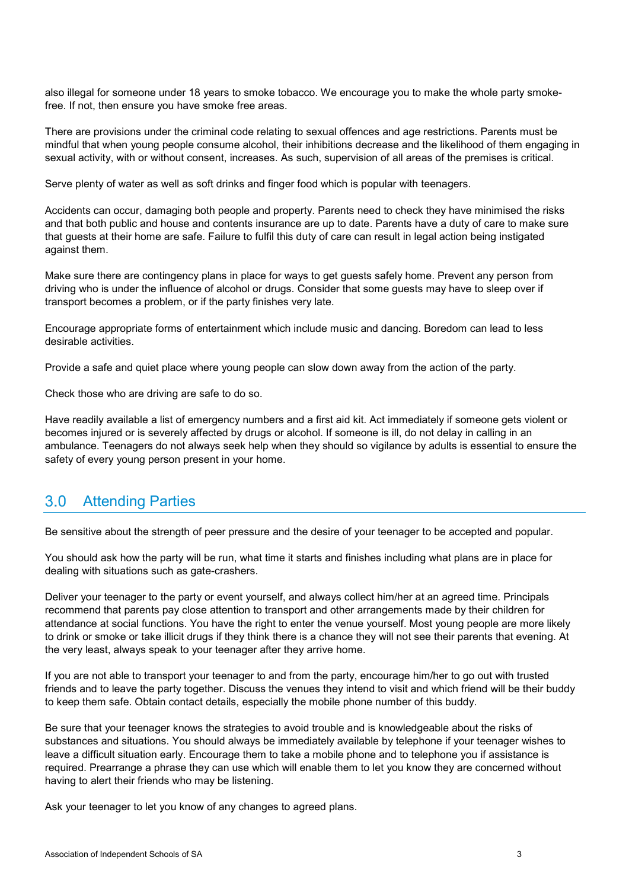also illegal for someone under 18 years to smoke tobacco. We encourage you to make the whole party smokefree. If not, then ensure you have smoke free areas.

There are provisions under the criminal code relating to sexual offences and age restrictions. Parents must be mindful that when young people consume alcohol, their inhibitions decrease and the likelihood of them engaging in sexual activity, with or without consent, increases. As such, supervision of all areas of the premises is critical.

Serve plenty of water as well as soft drinks and finger food which is popular with teenagers.

Accidents can occur, damaging both people and property. Parents need to check they have minimised the risks and that both public and house and contents insurance are up to date. Parents have a duty of care to make sure that guests at their home are safe. Failure to fulfil this duty of care can result in legal action being instigated against them.

Make sure there are contingency plans in place for ways to get guests safely home. Prevent any person from driving who is under the influence of alcohol or drugs. Consider that some guests may have to sleep over if transport becomes a problem, or if the party finishes very late.

Encourage appropriate forms of entertainment which include music and dancing. Boredom can lead to less desirable activities.

Provide a safe and quiet place where young people can slow down away from the action of the party.

Check those who are driving are safe to do so.

Have readily available a list of emergency numbers and a first aid kit. Act immediately if someone gets violent or becomes injured or is severely affected by drugs or alcohol. If someone is ill, do not delay in calling in an ambulance. Teenagers do not always seek help when they should so vigilance by adults is essential to ensure the safety of every young person present in your home.

#### $3.0$ Attending Parties

Be sensitive about the strength of peer pressure and the desire of your teenager to be accepted and popular.

You should ask how the party will be run, what time it starts and finishes including what plans are in place for dealing with situations such as gate-crashers.

Deliver your teenager to the party or event yourself, and always collect him/her at an agreed time. Principals recommend that parents pay close attention to transport and other arrangements made by their children for attendance at social functions. You have the right to enter the venue yourself. Most young people are more likely to drink or smoke or take illicit drugs if they think there is a chance they will not see their parents that evening. At the very least, always speak to your teenager after they arrive home.

If you are not able to transport your teenager to and from the party, encourage him/her to go out with trusted friends and to leave the party together. Discuss the venues they intend to visit and which friend will be their buddy to keep them safe. Obtain contact details, especially the mobile phone number of this buddy.

Be sure that your teenager knows the strategies to avoid trouble and is knowledgeable about the risks of substances and situations. You should always be immediately available by telephone if your teenager wishes to leave a difficult situation early. Encourage them to take a mobile phone and to telephone you if assistance is required. Prearrange a phrase they can use which will enable them to let you know they are concerned without having to alert their friends who may be listening.

Ask your teenager to let you know of any changes to agreed plans.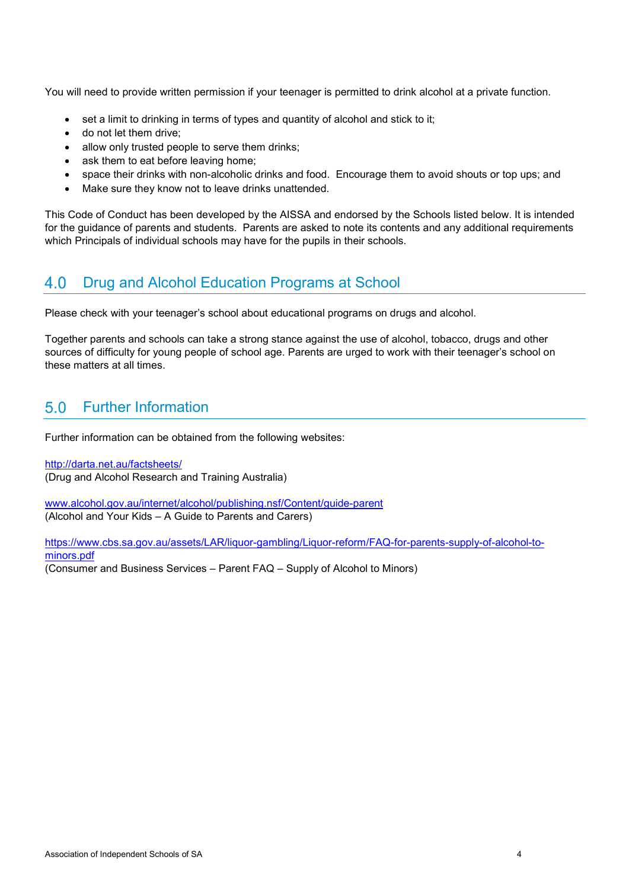You will need to provide written permission if your teenager is permitted to drink alcohol at a private function.

- set a limit to drinking in terms of types and quantity of alcohol and stick to it;
- do not let them drive;
- allow only trusted people to serve them drinks:
- ask them to eat before leaving home;
- space their drinks with non-alcoholic drinks and food. Encourage them to avoid shouts or top ups; and
- Make sure they know not to leave drinks unattended.

This Code of Conduct has been developed by the AISSA and endorsed by the Schools listed below. It is intended for the guidance of parents and students. Parents are asked to note its contents and any additional requirements which Principals of individual schools may have for the pupils in their schools.

### 4.0 Drug and Alcohol Education Programs at School

Please check with your teenager's school about educational programs on drugs and alcohol.

Together parents and schools can take a strong stance against the use of alcohol, tobacco, drugs and other sources of difficulty for young people of school age. Parents are urged to work with their teenager's school on these matters at all times.

### Further Information  $5.0$

Further information can be obtained from the following websites:

<http://darta.net.au/factsheets/> (Drug and Alcohol Research and Training Australia)

[www.alcohol.gov.au/internet/alcohol/publishing.nsf/Content/guide-parent](http://www.alcohol.gov.au/internet/alcohol/publishing.nsf/Content/guide-parent) (Alcohol and Your Kids – A Guide to Parents and Carers)

[https://www.cbs.sa.gov.au/assets/LAR/liquor-gambling/Liquor-reform/FAQ-for-parents-supply-of-alcohol-to](https://www.cbs.sa.gov.au/assets/LAR/liquor-gambling/Liquor-reform/FAQ-for-parents-supply-of-alcohol-to-minors.pdf)[minors.pdf](https://www.cbs.sa.gov.au/assets/LAR/liquor-gambling/Liquor-reform/FAQ-for-parents-supply-of-alcohol-to-minors.pdf) (Consumer and Business Services – Parent FAQ – Supply of Alcohol to Minors)